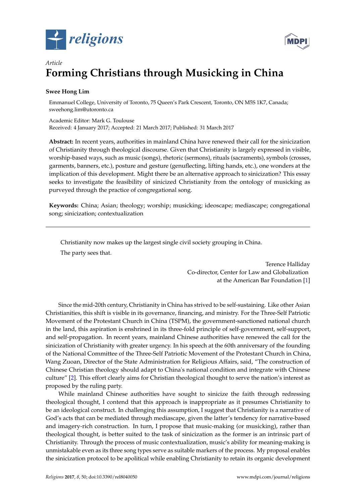



# *Article* **Forming Christians through Musicking in China**

## **Swee Hong Lim**

Emmanuel College, University of Toronto, 75 Queen's Park Crescent, Toronto, ON M5S 1K7, Canada; sweehong.lim@utoronto.ca

Academic Editor: Mark G. Toulouse Received: 4 January 2017; Accepted: 21 March 2017; Published: 31 March 2017

**Abstract:** In recent years, authorities in mainland China have renewed their call for the sinicization of Christianity through theological discourse. Given that Christianity is largely expressed in visible, worship-based ways, such as music (songs), rhetoric (sermons), rituals (sacraments), symbols (crosses, garments, banners, etc.), posture and gesture (genuflecting, lifting hands, etc.), one wonders at the implication of this development. Might there be an alternative approach to sinicization? This essay seeks to investigate the feasibility of sinicized Christianity from the ontology of musicking as purveyed through the practice of congregational song.

**Keywords:** China; Asian; theology; worship; musicking; ideoscape; mediascape; congregational song; sinicization; contextualization

Christianity now makes up the largest single civil society grouping in China. The party sees that.

> Terence Halliday Co-director, Center for Law and Globalization at the American Bar Foundation [\[1\]](#page-7-0)

Since the mid-20th century, Christianity in China has strived to be self-sustaining. Like other Asian Christianities, this shift is visible in its governance, financing, and ministry. For the Three-Self Patriotic Movement of the Protestant Church in China (TSPM), the government-sanctioned national church in the land, this aspiration is enshrined in its three-fold principle of self-government, self-support, and self-propagation. In recent years, mainland Chinese authorities have renewed the call for the sinicization of Christianity with greater urgency. In his speech at the 60th anniversary of the founding of the National Committee of the Three-Self Patriotic Movement of the Protestant Church in China, Wang Zuoan, Director of the State Administration for Religious Affairs, said, "The construction of Chinese Christian theology should adapt to China's national condition and integrate with Chinese culture" [\[2\]](#page-7-1). This effort clearly aims for Christian theological thought to serve the nation's interest as proposed by the ruling party.

While mainland Chinese authorities have sought to sinicize the faith through redressing theological thought, I contend that this approach is inappropriate as it presumes Christianity to be an ideological construct. In challenging this assumption, I suggest that Christianity is a narrative of God's acts that can be mediated through mediascape, given the latter's tendency for narrative-based and imagery-rich construction. In turn, I propose that music-making (or musicking), rather than theological thought, is better suited to the task of sinicization as the former is an intrinsic part of Christianity. Through the process of music contextualization, music's ability for meaning-making is unmistakable even as its three song types serve as suitable markers of the process. My proposal enables the sinicization protocol to be apolitical while enabling Christianity to retain its organic development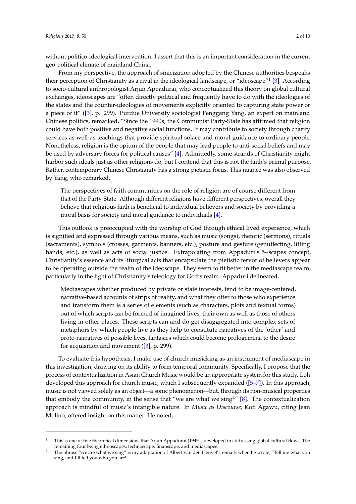without politico-ideological intervention. I assert that this is an important consideration in the current geo-political climate of mainland China.

From my perspective, the approach of sinicization adopted by the Chinese authorities bespeaks their perception of Christianity as a rival in the ideological landscape, or "ideoscape"<sup>1</sup> [\[3\]](#page-7-2). According to socio-cultural anthropologist Arjun Appadurai, who conceptualized this theory on global cultural exchanges, ideoscapes are "often directly political and frequently have to do with the ideologies of the states and the counter-ideologies of movements explicitly oriented to capturing state power or a piece of it" ([\[3\]](#page-7-2), p. 299). Purdue University sociologist Fenggang Yang, an expert on mainland Chinese politics, remarked, "Since the 1990s, the Communist Party-State has affirmed that religion could have both positive and negative social functions. It may contribute to society through charity services as well as teachings that provide spiritual solace and moral guidance to ordinary people. Nonetheless, religion is the opium of the people that may lead people to anti-social beliefs and may be used by adversary forces for political causes" [\[4\]](#page-7-3). Admittedly, some strands of Christianity might harbor such ideals just as other religions do, but I contend that this is not the faith's primal purpose. Rather, contemporary Chinese Christianity has a strong pietistic focus. This nuance was also observed by Yang, who remarked,

The perspectives of faith communities on the role of religion are of course different from that of the Party-State. Although different religions have different perspectives, overall they believe that religious faith is beneficial to individual believers and society by providing a moral basis for society and moral guidance to individuals [\[4\]](#page-7-3).

This outlook is preoccupied with the worship of God through ethical lived experience, which is signified and expressed through various means, such as music (songs), rhetoric (sermons), rituals (sacraments), symbols (crosses, garments, banners, etc.), posture and gesture (genuflecting, lifting hands, etc.), as well as acts of social justice. Extrapolating from Appaduri's 5~scapes concept, Christianity's essence and its liturgical acts that encapsulate the pietistic fervor of believers appear to be operating outside the realm of the ideoscape. They seem to fit better in the mediascape realm, particularly in the light of Christianity's teleology for God's realm. Appaduri delineated,

Mediascapes whether produced by private or state interests, tend to be image-centered, narrative-based accounts of strips of reality, and what they offer to those who experience and transform them is a series of elements (such as characters, plots and textual forms) out of which scripts can be formed of imagined lives, their own as well as those of others living in other places. These scripts can and do get disaggregated into complex sets of metaphors by which people live as they help to constitute narratives of the 'other' and proto-narratives of possible lives, fantasies which could become prologemena to the desire for acquisition and movement  $(3]$ , p. 299).

To evaluate this hypothesis, I make use of church musicking as an instrument of mediascape in this investigation, drawing on its ability to form temporal community. Specifically, I propose that the process of contextualization in Asian Church Music would be an appropriate system for this study. Loh developed this approach for church music, which I subsequently expanded ([\[5](#page-7-4)[–7\]](#page-7-5)). In this approach, music is not viewed solely as an object—a sonic phenomenon—but, through its non-musical properties that embody the community, in the sense that "we are what we sing<sup>2</sup>" [\[8\]](#page-7-6). The contextualization approach is mindful of music's intangible nature. In *Music as Discourse*, Kofi Agawu, citing Jean Molino, offered insight on this matter. He noted,

<sup>1</sup> This is one of five theoretical dimensions that Arjun Appadurai (1949–) developed in addressing global cultural flows. The remaining four being ethnoscapes, technoscape, finanscape, and mediascapes.

<sup>&</sup>lt;sup>2</sup> The phrase "we are what we sing" is my adaptation of Albert van den Heuvel's remark when he wrote, "Tell me what you sing, and I'll tell you who you are!"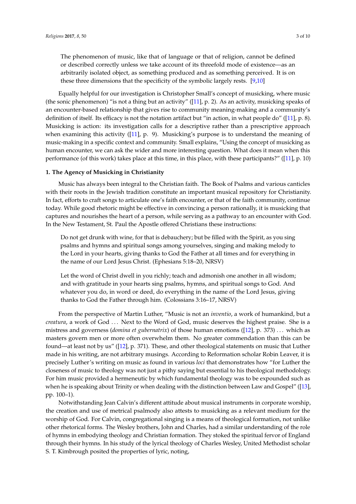The phenomenon of music, like that of language or that of religion, cannot be defined or described correctly unless we take account of its threefold mode of existence—as an arbitrarily isolated object, as something produced and as something perceived. It is on these three dimensions that the specificity of the symbolic largely rests. [\[9](#page-8-0)[,10\]](#page-8-1)

Equally helpful for our investigation is Christopher Small's concept of musicking, where music (the sonic phenomenon) "is not a thing but an activity" ([\[11\]](#page-8-2), p. 2). As an activity, musicking speaks of an encounter-based relationship that gives rise to community meaning-making and a community's definition of itself. Its efficacy is not the notation artifact but "in action, in what people do" ([\[11\]](#page-8-2), p. 8). Musicking is action: its investigation calls for a descriptive rather than a prescriptive approach when examining this activity  $(11)$ , p. 9). Musicking's purpose is to understand the meaning of music-making in a specific context and community. Small explains, "Using the concept of musicking as human encounter, we can ask the wider and more interesting question. What does it mean when this performance (of this work) takes place at this time, in this place, with these participants?" ([\[11\]](#page-8-2), p. 10)

#### **1. The Agency of Musicking in Christianity**

Music has always been integral to the Christian faith. The Book of Psalms and various canticles with their roots in the Jewish tradition constitute an important musical repository for Christianity. In fact, efforts to craft songs to articulate one's faith encounter, or that of the faith community, continue today. While good rhetoric might be effective in convincing a person rationally, it is musicking that captures and nourishes the heart of a person, while serving as a pathway to an encounter with God. In the New Testament, St. Paul the Apostle offered Christians these instructions:

Do not get drunk with wine, for that is debauchery; but be filled with the Spirit, as you sing psalms and hymns and spiritual songs among yourselves, singing and making melody to the Lord in your hearts, giving thanks to God the Father at all times and for everything in the name of our Lord Jesus Christ. (Ephesians 5:18–20, NRSV)

Let the word of Christ dwell in you richly; teach and admonish one another in all wisdom; and with gratitude in your hearts sing psalms, hymns, and spiritual songs to God. And whatever you do, in word or deed, do everything in the name of the Lord Jesus, giving thanks to God the Father through him. (Colossians 3:16–17, NRSV)

From the perspective of Martin Luther, "Music is not an *inventio*, a work of humankind, but a *creatura*, a work of God . . . Next to the Word of God, music deserves the highest praise. She is a mistress and governess (*domina et gubernatrix*) of those human emotions ([\[12\]](#page-8-3), p. 373) . . . which as masters govern men or more often overwhelm them. No greater commendation than this can be found—at least not by us" ([\[12\]](#page-8-3), p. 371). These, and other theological statements on music that Luther made in his writing, are not arbitrary musings. According to Reformation scholar Robin Leaver, it is precisely Luther's writing on music as found in various *loci* that demonstrates how "for Luther the closeness of music to theology was not just a pithy saying but essential to his theological methodology. For him music provided a hermeneutic by which fundamental theology was to be expounded such as when he is speaking about Trinity or when dealing with the distinction between Law and Gospel" ([\[13\]](#page-8-4), pp. 100–1).

Notwithstanding Jean Calvin's different attitude about musical instruments in corporate worship, the creation and use of metrical psalmody also attests to musicking as a relevant medium for the worship of God. For Calvin, congregational singing is a means of theological formation, not unlike other rhetorical forms. The Wesley brothers, John and Charles, had a similar understanding of the role of hymns in embodying theology and Christian formation. They stoked the spiritual fervor of England through their hymns. In his study of the lyrical theology of Charles Wesley, United Methodist scholar S. T. Kimbrough posited the properties of lyric, noting,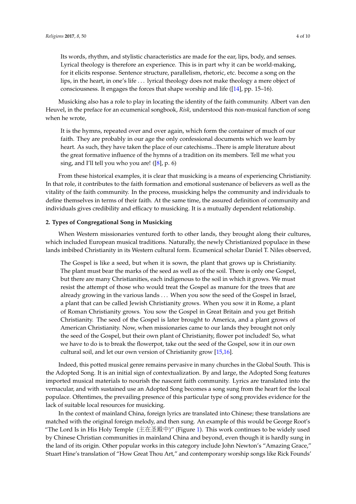Its words, rhythm, and stylistic characteristics are made for the ear, lips, body, and senses. Lyrical theology is therefore an experience. This is in part why it can be world-making, for it elicits response. Sentence structure, parallelism, rhetoric, etc. become a song on the lips, in the heart, in one's life . . . lyrical theology does not make theology a mere object of consciousness. It engages the forces that shape worship and life ([\[14\]](#page-8-5), pp. 15–16).

Musicking also has a role to play in locating the identity of the faith community. Albert van den Heuvel, in the preface for an ecumenical songbook, *Risk*, understood this non-musical function of song when he wrote,

It is the hymns, repeated over and over again, which form the container of much of our faith. They are probably in our age the only confessional documents which we learn by heart. As such, they have taken the place of our catechisms...There is ample literature about the great formative influence of the hymns of a tradition on its members. Tell me what you sing, and I'll tell you who you are! ([\[8\]](#page-7-6), p. 6)

From these historical examples, it is clear that musicking is a means of experiencing Christianity. In that role, it contributes to the faith formation and emotional sustenance of believers as well as the vitality of the faith community. In the process, musicking helps the community and individuals to define themselves in terms of their faith. At the same time, the assured definition of community and individuals gives credibility and efficacy to musicking. It is a mutually dependent relationship.

#### **2. Types of Congregational Song in Musicking**

When Western missionaries ventured forth to other lands, they brought along their cultures, which included European musical traditions. Naturally, the newly Christianized populace in these lands imbibed Christianity in its Western cultural form. Ecumenical scholar Daniel T. Niles observed,

The Gospel is like a seed, but when it is sown, the plant that grows up is Christianity. The plant must bear the marks of the seed as well as of the soil. There is only one Gospel, but there are many Christianities, each indigenous to the soil in which it grows. We must resist the attempt of those who would treat the Gospel as manure for the trees that are already growing in the various lands . . . When you sow the seed of the Gospel in Israel, a plant that can be called Jewish Christianity grows. When you sow it in Rome, a plant of Roman Christianity grows. You sow the Gospel in Great Britain and you get British Christianity. The seed of the Gospel is later brought to America, and a plant grows of American Christianity. Now, when missionaries came to our lands they brought not only the seed of the Gospel, but their own plant of Christianity, flower pot included! So, what we have to do is to break the flowerpot, take out the seed of the Gospel, sow it in our own cultural soil, and let our own version of Christianity grow [\[15,](#page-8-6)[16\]](#page-8-7).

Indeed, this potted musical genre remains pervasive in many churches in the Global South. This is the Adopted Song. It is an initial sign of contextualization. By and large, the Adopted Song features imported musical materials to nourish the nascent faith community. Lyrics are translated into the vernacular, and with sustained use an Adopted Song becomes a song sung from the heart for the local populace. Oftentimes, the prevailing presence of this particular type of song provides evidence for the lack of suitable local resources for musicking.

In the context of mainland China, foreign lyrics are translated into Chinese; these translations are matched with the original foreign melody, and then sung. An example of this would be George Root's "The Lord Is in His Holy Temple  $(\pm \pm \pm \pm \pm)$ " (Figure [1\)](#page-4-0). This work continues to be widely used by Chinese Christian communities in mainland China and beyond, even though it is hardly sung in the land of its origin. Other popular works in this category include John Newton's "Amazing Grace," Stuart Hine's translation of "How Great Thou Art," and contemporary worship songs like Rick Founds'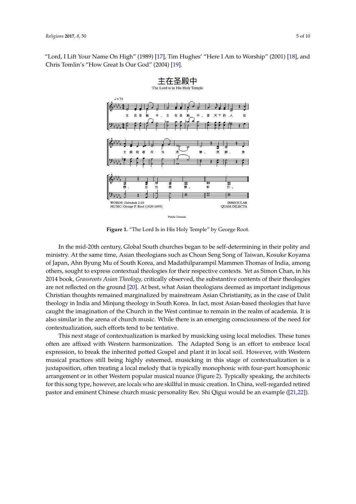<span id="page-4-0"></span>"Lord, I Lift Your Name On High" (1989) [\[17\]](#page-8-8), Tim Hughes' "Here I Am to Worship" (2001) [\[18\]](#page-8-9), and Chris Tomlin's "How Great Is Our God" (2004) [\[19\]](#page-8-10).



**Figure 1.** "The Lord Is in His Holy Temple" by George Root. **Figure 1.** "The Lord Is in His Holy Temple" by George Root.

In the mid-20th century, Global South churches began to be self-determining in their polity and ministry. At the same time, Asian theologians such as Choan Seng Song of Taiwan, Kosuke Koyama ministry. At the same time, Asian theologians such as Choan Seng Song of Taiwan, Kosuke Koyama of Japan, Ahn Byung Mu of South Korea, and Madathilparampil Mammen Thomas of India, among of Japan, Ahn Byung Mu of South Korea, and Madathilparampil Mammen Thomas of India, among others, sought to express contextual theologies for their respective contexts. Yet as Simon Chan, in his 2014 book, *Grassroots Asian Theology*, critically observed, the substantive contents of their theologies are not reflected on t[he g](#page-8-11)round [20]. At best, what Asian theologians deemed as important indigenous Christian thoughts remained marginalized by mainstream Asian Christianity, as in the case of Dalit theology in India and Minjung theology in South Korea. In fact, most Asian-based theologies that have caught the imagination of the Church in the West continue to remain in the realm of academia. It is also similar in the arena of church music. While there is an emerging consciousness of the need for contextualization, such efforts tend to be tentative.

This next stage of contextualization is marked by musicking using local melodies. These tunes often are affixed with Western harmonization. The Adapted Song is an effort to embrace local expression, to break the inherited potted Gospel and plant it in local soil. However, with Western expression, to break the inherited potted Gospel and plant it in local soil. However, with Western musical practices still being highly esteemed, musicking in this stage of contextualization is a musical practices still being highly esteemed, musicking in this stage of contextualization is a juxtaposition, often treating a local melody that is typically monophonic with four-part homophonic juxtaposition, often treating a local melody that is typically monophonic with four-part homophonic arrangement or in other Western popular musical nuance ([Fig](#page-5-0)ure 2). Typically speaking, the arrangement or in other Western popular musical nuance (Figure 2). Typically speaking, the architects for this song type, however, are locals who are skillful in music creation. In China, well-regarded retired pastor and eminent Chinese church music personality Rev. Shi Qigu[i w](#page-8-12)[oul](#page-8-13)d be an example ([21,22]).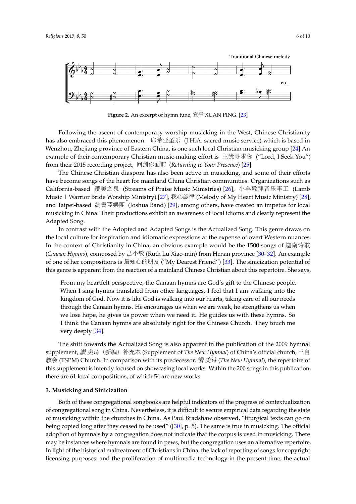<span id="page-5-0"></span>

**Figure 2.** An excerpt of hymn tune, 宣平 XUAN PING. [\[23\]](#page-8-14) **Figure 2.** An excerpt of hymn tune, 宣平 XUAN PING. [23]

Following the ascent of contemporary worship musicking in the West, Chinese Christianity has also embraced this phenomenon. 耶希亚圣乐 (J.H.A. sacred music service) which is based in Wenzhou, Zhejiang province of Eastern China, is one such local Christian musicking group [\[24\]](#page-8-15) An example of their contemporary Christian music-making effort is <sup>主</sup>我寻求<sup>你</sup> ("Lord, I Seek You") from their 2015 recording project, 回到你面前 (*Returning to Your Presence*) [\[25\]](#page-8-16).

The Chinese Christian diaspora has also been active in musicking, and some of their efforts have become songs of the heart for mainland China Christian communities. Organizations such as California-based <sup>讚</sup>美之<sup>泉</sup> (Streams of Praise Music Ministries) [\[26\]](#page-8-17), 小羊敬拜音乐事<sup>工</sup> (Lamb Music | Warrior Bride Worship Ministry) [\[27\]](#page-8-18), 我心旋律 (Melody of My Heart Music Ministry) [\[28\]](#page-8-19), and Taipei-based 約書亞樂團 (Joshua Band) [\[29\]](#page-8-20), among others, have created an impetus for local musicking in China. Their productions exhibit an awareness of local idioms and clearly represent the Adapted Song.

In contrast with the Adopted and Adapted Songs is the Actualized Song. This genre draws on the local culture for inspiration and idiomatic expressions at the expense of overt Western nuances. In the context of Christianity in China, an obvious example would be the 1500 songs of <sup>迦</sup>南诗歌 (*Canaan Hymns*), composed by <sup>吕</sup>小<sup>敏</sup> (Ruth Lu Xiao-min) from Henan province [\[30–](#page-8-21)[32\]](#page-8-22). An example of one of her compositions is <sup>最</sup>知心的朋<sup>友</sup> ("My Dearest Friend") [\[33\]](#page-8-23). The sinicization potential of this genre is apparent from the reaction of a mainland Chinese Christian about this repertoire. She says,

From my heartfelt perspective, the Canaan hymns are God's gift to the Chinese people. When I sing hymns translated from other languages, I feel that I am walking into the kingdom of God. Now it is like God is walking into our hearts, taking care of all our needs through the Canaan hymns. He encourages us when we are weak, he strengthens us when we lose hope, he gives us power when we need it. He guides us with these hymns. So I think the Canaan hymns are absolutely right for the Chinese Church. They touch me very deeply [\[34\]](#page-8-24).

The shift towards the Actualized Song is also apparent in the publication of the 2009 hymnal supplement, <sup>讚</sup> <sup>美</sup>诗(新编)补充<sup>本</sup> (Supplement of *The New Hymnal*) of China's official church, <sup>三</sup>自 教会 (TSPM) Church. In comparison with its predecessor, 讚 美诗 (*The New Hymnal*), the repertoire of this supplement is intently focused on showcasing local works. Within the 200 songs in this publication, there are 61 local compositions, of which 54 are new works.

### **3. Musicking and Sinicization**

Both of these congregational songbooks are helpful indicators of the progress of contextualization of congregational song in China. Nevertheless, it is difficult to secure empirical data regarding the state of musicking within the churches in China. As Paul Bradshaw observed, "liturgical texts can go on being copied long after they ceased to be used" ([\[30\]](#page-8-21), p. 5). The same is true in musicking. The official adoption of hymnals by a congregation does not indicate that the corpus is used in musicking. There may be instances where hymnals are found in pews, but the congregation uses an alternative repertoire. In light of the historical maltreatment of Christians in China, the lack of reporting of songs for copyright licensing purposes, and the proliferation of multimedia technology in the present time, the actual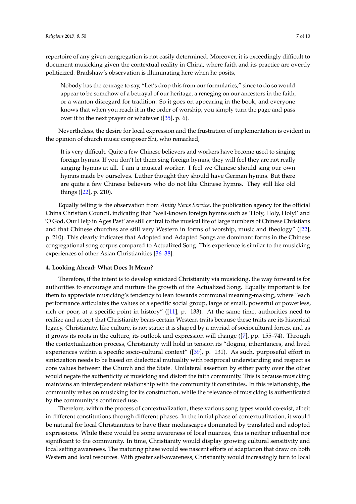repertoire of any given congregation is not easily determined. Moreover, it is exceedingly difficult to document musicking given the contextual reality in China, where faith and its practice are overtly politicized. Bradshaw's observation is illuminating here when he posits,

Nobody has the courage to say, "Let's drop this from our formularies," since to do so would appear to be somehow of a betrayal of our heritage, a reneging on our ancestors in the faith, or a wanton disregard for tradition. So it goes on appearing in the book, and everyone knows that when you reach it in the order of worship, you simply turn the page and pass over it to the next prayer or whatever ([\[35\]](#page-9-0), p. 6).

Nevertheless, the desire for local expression and the frustration of implementation is evident in the opinion of church music composer Shi, who remarked,

It is very difficult. Quite a few Chinese believers and workers have become used to singing foreign hymns. If you don't let them sing foreign hymns, they will feel they are not really singing hymns at all. I am a musical worker. I feel we Chinese should sing our own hymns made by ourselves. Luther thought they should have German hymns. But there are quite a few Chinese believers who do not like Chinese hymns. They still like old things ([\[22\]](#page-8-13), p. 210).

Equally telling is the observation from *Amity News Service,* the publication agency for the official China Christian Council, indicating that "well-known foreign hymns such as 'Holy, Holy, Holy!' and 'O God, Our Help in Ages Past' are still central to the musical life of large numbers of Chinese Christians and that Chinese churches are still very Western in forms of worship, music and theology" ([\[22\]](#page-8-13), p. 210). This clearly indicates that Adopted and Adapted Songs are dominant forms in the Chinese congregational song corpus compared to Actualized Song. This experience is similar to the musicking experiences of other Asian Christianities [\[36](#page-9-1)[–38\]](#page-9-2).

#### **4. Looking Ahead: What Does It Mean?**

Therefore, if the intent is to develop sinicized Christianity via musicking, the way forward is for authorities to encourage and nurture the growth of the Actualized Song. Equally important is for them to appreciate musicking's tendency to lean towards communal meaning-making, where "each performance articulates the values of a specific social group, large or small, powerful or powerless, rich or poor, at a specific point in history" ([\[11\]](#page-8-2), p. 133). At the same time, authorities need to realize and accept that Christianity bears certain Western traits because these traits are its historical legacy. Christianity, like culture, is not static: it is shaped by a myriad of sociocultural forces, and as it grows its roots in the culture, its outlook and expression will change ([\[7\]](#page-7-5), pp. 155–74). Through the contextualization process, Christianity will hold in tension its "dogma, inheritances, and lived experiences within a specific socio-cultural context" ([\[39\]](#page-9-3), p. 131). As such, purposeful effort in sinicization needs to be based on dialectical mutuality with reciprocal understanding and respect as core values between the Church and the State. Unilateral assertion by either party over the other would negate the authenticity of musicking and distort the faith community. This is because musicking maintains an interdependent relationship with the community it constitutes. In this relationship, the community relies on musicking for its construction, while the relevance of musicking is authenticated by the community's continued use.

Therefore, within the process of contextualization, these various song types would co-exist, albeit in different constitutions through different phases. In the initial phase of contextualization, it would be natural for local Christianities to have their mediascapes dominated by translated and adopted expressions. While there would be some awareness of local nuances, this is neither influential nor significant to the community. In time, Christianity would display growing cultural sensitivity and local setting awareness. The maturing phase would see nascent efforts of adaptation that draw on both Western and local resources. With greater self-awareness, Christianity would increasingly turn to local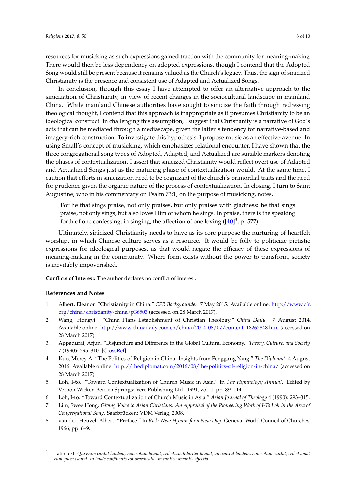resources for musicking as such expressions gained traction with the community for meaning-making. There would then be less dependency on adopted expressions, though I contend that the Adopted Song would still be present because it remains valued as the Church's legacy. Thus, the sign of sinicized Christianity is the presence and consistent use of Adapted and Actualized Songs.

In conclusion, through this essay I have attempted to offer an alternative approach to the sinicization of Christianity, in view of recent changes in the sociocultural landscape in mainland China. While mainland Chinese authorities have sought to sinicize the faith through redressing theological thought, I contend that this approach is inappropriate as it presumes Christianity to be an ideological construct. In challenging this assumption, I suggest that Christianity is a narrative of God's acts that can be mediated through a mediascape, given the latter's tendency for narrative-based and imagery-rich construction. To investigate this hypothesis, I propose music as an effective avenue. In using Small's concept of musicking, which emphasizes relational encounter, I have shown that the three congregational song types of Adopted, Adapted, and Actualized are suitable markers denoting the phases of contextualization. I assert that sinicized Christianity would reflect overt use of Adapted and Actualized Songs just as the maturing phase of contextualization would. At the same time, I caution that efforts in sinicization need to be cognizant of the church's primordial traits and the need for prudence given the organic nature of the process of contextualization. In closing, I turn to Saint Augustine, who in his commentary on Psalm 73:1, on the purpose of musicking, notes,

For he that sings praise, not only praises, but only praises with gladness: he that sings praise, not only sings, but also loves Him of whom he sings. In praise, there is the speaking forth of one confessing; in singing, the affection of one loving ([ $40$ ]<sup>3</sup>, p. 577).

Ultimately, sinicized Christianity needs to have as its core purpose the nurturing of heartfelt worship, in which Chinese culture serves as a resource. It would be folly to politicize pietistic expressions for ideological purposes, as that would negate the efficacy of these expressions of meaning-making in the community. Where form exists without the power to transform, society is inevitably impoverished.

**Conflicts of Interest:** The author declares no conflict of interest.

#### **References and Notes**

- <span id="page-7-0"></span>1. Albert, Eleanor. "Christianity in China." *CFR Backgrounder*. 7 May 2015. Available online: [http://www.cfr.](http://www.cfr.org/china/christianity-china/p36503) [org/china/christianity-china/p36503](http://www.cfr.org/china/christianity-china/p36503) (accessed on 28 March 2017).
- <span id="page-7-1"></span>2. Wang, Hongyi. "China Plans Establishment of Christian Theology." *China Daily*. 7 August 2014. Available online: [http://www.chinadaily.com.cn/china/2014-08/07/content\\_18262848.htm](http://www.chinadaily.com.cn/china/2014-08/07/content_18262848.htm) (accessed on 28 March 2017).
- <span id="page-7-2"></span>3. Appadurai, Arjun. "Disjuncture and Difference in the Global Cultural Economy." *Theory, Culture, and Society* 7 (1990): 295–310. [\[CrossRef\]](http://dx.doi.org/10.1177/026327690007002017)
- <span id="page-7-3"></span>4. Kuo, Mercy A. "The Politics of Religion in China: Insights from Fenggang Yang." *The Diplomat*. 4 August 2016. Available online: <http://thediplomat.com/2016/08/the-politics-of-religion-in-china/> (accessed on 28 March 2017).
- <span id="page-7-4"></span>5. Loh, I-to. "Toward Contextualization of Church Music in Asia." In *The Hymnology Annual*. Edited by Vernon Wicker. Berrien Springs: Vere Publishing Ltd., 1991, vol. 1, pp. 89–114.
- 6. Loh, I-to. "Toward Contextualization of Church Music in Asia." *Asian Journal of Theology* 4 (1990): 293–315.
- <span id="page-7-5"></span>7. Lim, Swee Hong. *Giving Voice to Asian Christians: An Appraisal of the Pioneering Work of I-To Loh in the Area of Congregational Song*. Saarbrücken: VDM Verlag, 2008.
- <span id="page-7-6"></span>8. van den Heuvel, Albert. "Preface." In *Risk: New Hymns for a New Day*. Geneva: World Council of Churches, 1966, pp. 6–9.

<sup>3</sup> Latin text: *Qui enim cantat laudem, non solum laudat, sed etiam hilariter laudat; qui cantat laudem, non solum cantat, sed et amat eum quem cantat. In laude confitentis est praedicatio, in cantico amantis affectio* . . .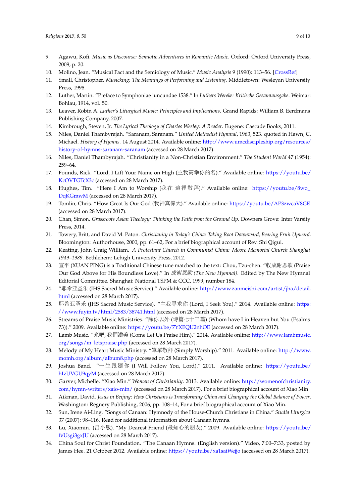- <span id="page-8-0"></span>9. Agawu, Kofi. *Music as Discourse: Semiotic Adventures in Romantic Music*. Oxford: Oxford University Press, 2009, p. 20.
- <span id="page-8-1"></span>10. Molino, Jean. "Musical Fact and the Semiology of Music." *Music Analysis* 9 (1990): 113–56. [\[CrossRef\]](http://dx.doi.org/10.2307/854225)
- <span id="page-8-2"></span>11. Small, Christopher. *Musicking: The Meanings of Performing and Listening*. Middletown: Wesleyan University Press, 1998.
- <span id="page-8-3"></span>12. Luther, Martin. "Preface to Symphoniae iuncundae 1538." In *Luthers Wereke: Kritische Gesamtausgabe*. Weimar: Bohlau, 1914, vol. 50.
- <span id="page-8-4"></span>13. Leaver, Robin A. *Luther's Liturgical Music: Principles and Implications*. Grand Rapids: William B. Eerdmans Publishing Company, 2007.
- <span id="page-8-5"></span>14. Kimbrough, Steven, Jr. *The Lyrical Theology of Charles Wesley: A Reader*. Eugene: Cascade Books, 2011.
- <span id="page-8-6"></span>15. Niles, Daniel Thambyrajah. "Saranam, Saranam." *United Methodist Hymnal*, 1963, 523. quoted in Hawn, C. Michael. *History of Hymns*. 14 August 2014. Available online: [http://www.umcdiscipleship.org/resources/](http://www.umcdiscipleship.org/resources/history-of-hymns-saranam-saranam) [history-of-hymns-saranam-saranam](http://www.umcdiscipleship.org/resources/history-of-hymns-saranam-saranam) (accessed on 28 March 2017).
- <span id="page-8-7"></span>16. Niles, Daniel Thambyrajah. "Christianity in a Non-Christian Environment." *The Student World* 47 (1954): 259–64.
- <span id="page-8-8"></span>17. Founds, Rick. "Lord, I Lift Your Name on High (主我高举你的名)." Available online: [https://youtu.be/](https://youtu.be/KcOVTGTcX3c) [KcOVTGTcX3c](https://youtu.be/KcOVTGTcX3c) (accessed on 28 March 2017).
- <span id="page-8-9"></span>18. Hughes, Tim. "Here I Am to Worship (我<sup>在</sup> <sup>這</sup>裡敬拜)." Available online: [https://youtu.be/8wo\\_](https://youtu.be/8wo_DqKGmwM) [DqKGmwM](https://youtu.be/8wo_DqKGmwM) (accessed on 28 March 2017).
- <span id="page-8-10"></span>19. Tomlin, Chris. "How Great Is Our God (我神真偉大)." Available online: <https://youtu.be/AP3zwcaV8GE> (accessed on 28 March 2017).
- <span id="page-8-11"></span>20. Chan, Simon. *Grassroots Asian Theology: Thinking the Faith from the Ground Up*. Downers Grove: Inter Varsity Press, 2014.
- <span id="page-8-12"></span>21. Towery, Britt, and David M. Paton. *Christianity in Today's China: Taking Root Downward, Bearing Fruit Upward*. Bloomington: Authorhouse, 2000, pp. 61–62, For a brief biographical account of Rev. Shi Qigui.
- <span id="page-8-13"></span>22. Keating, John Craig William. *A Protestant Church in Communist China: Moore Memorial Church Shanghai 1949–1989*. Bethlehem: Lehigh University Press, 2012.
- <span id="page-8-14"></span>23. <sup>宣</sup><sup>平</sup> (XUAN PING) is a Traditional Chinese tune matched to the text: Chou, Tzu-chen. "收成谢恩歌 (Praise Our God Above for His Boundless Love)." In 成谢恩歌 *(The New Hymnal)*. Edited by The New Hymnal Editorial Committee. Shanghai: National TSPM & CCC, 1999, number 184.
- <span id="page-8-15"></span>24. "耶希亚圣乐 (JHS Sacred Music Service)." Available online: [http://www.zanmeishi.com/artist/jha/detail.](http://www.zanmeishi.com/artist/jha/detail.html) [html](http://www.zanmeishi.com/artist/jha/detail.html) (accessed on 28 March 2017).
- <span id="page-8-16"></span>25. <sup>耶</sup>希亚圣<sup>乐</sup> (JHS Sacred Music Service). "主我寻求<sup>你</sup> (Lord, I Seek You)." 2014. Available online: [https:](https://www.fuyin.tv/html/2583/38741.html) [//www.fuyin.tv/html/2583/38741.html](https://www.fuyin.tv/html/2583/38741.html) (accessed on 28 March 2017).
- <span id="page-8-17"></span>26. Streams of Praise Music Ministries. "除你以外 (诗篇七十三篇) (Whom have I in Heaven but You (Psalms 73))." 2009. Available online: <https://youtu.be/7YXEQU2nhOE> (accessed on 28 March 2017).
- <span id="page-8-18"></span>27. Lamb Music. "來吧, 我們讚<sup>美</sup> (Come Let Us Praise Him)." 2014. Available online: [http://www.lambmusic.](http://www.lambmusic.org/songs/m_letspraise.php) [org/songs/m\\_letspraise.php](http://www.lambmusic.org/songs/m_letspraise.php) (accessed on 28 March 2017).
- <span id="page-8-19"></span>28. Melody of My Heart Music Ministry. "單單敬拜 (Simply Worship)." 2011. Available online: [http://www.](http://www.momh.org/album/album8.php) [momh.org/album/album8.php](http://www.momh.org/album/album8.php) (accessed on 28 March 2017).
- <span id="page-8-20"></span>29. Joshua Band. "一生跟隨<sup>你</sup> (I Will Follow You, Lord)." 2011. Available online: [https://youtu.be/](https://youtu.be/hIzUVGU9qyM) [hIzUVGU9qyM](https://youtu.be/hIzUVGU9qyM) (accessed on 28 March 2017).
- <span id="page-8-21"></span>30. Garver, Michelle. "Xiao Min." *Women of Christianity*. 2013. Available online: [http://womenofchristianity.](http://womenofchristianity.com/hymn-writers/xaio-min/) [com/hymn-writers/xaio-min/](http://womenofchristianity.com/hymn-writers/xaio-min/) (accessed on 28 March 2017). For a brief biographical account of Xiao Min
- 31. Aikman, David. *Jesus in Beijing: How Christians is Transforming China and Changing the Global Balance of Power*. Washington: Regnery Publishing, 2006, pp. 108–14, For a brief biographical account of Xiao Min.
- <span id="page-8-22"></span>32. Sun, Irene Ai-Ling. "Songs of Canaan: Hymnody of the House-Church Christians in China." *Studia Liturgica* 37 (2007): 98–116. Read for additional information about Canaan hymns.
- <span id="page-8-23"></span>33. Lu, Xiaomin. (吕小敏). "My Dearest Friend (最知心的朋友)." 2009. Available online: [https://youtu.be/](https://youtu.be/fvUsgi3gxJU) [fvUsgi3gxJU](https://youtu.be/fvUsgi3gxJU) (accessed on 28 March 2017).
- <span id="page-8-24"></span>34. China Soul for Christ Foundation. "The Canaan Hymns. (English version)." Video, 7:00–7:33, posted by James Hee. 21 October 2012. Available online: <https://youtu.be/xa1saiWejjo> (accessed on 28 March 2017).